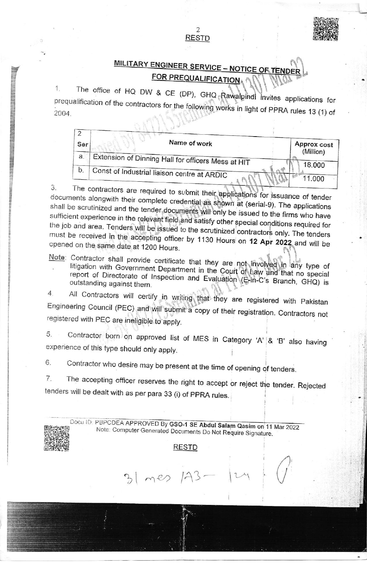# <u>Y ENGINEER SERVICE – NOTICE</u>

ffi\$

The office of HQ DW & CE (DP), GHQ prequalification of the contractors for the foll 2004. **Example 20 and Contractors for the following works in light of PPRA rules 13 (1) of** invites applications for

2 RESTD

| Ser | Name of work                                       | Approx cost<br>(Million) |
|-----|----------------------------------------------------|--------------------------|
| a.  | Extension of Dinning Hall for officers Mess at HIT |                          |
| b.  | Const of Industrial liaison centre at ARDIC        | 18.000                   |
|     |                                                    | 11,000                   |

3. The contractors are required to submit their applications for issuance of tender documents alongwith their complete credential as shown at (serial-9). The applications shall be scrutinized and the tender documents will documents alongwith their complete credential as shown at (serial-9). The applications sufficient experience in the relevant field and satisfy other special conditions required for<br>the job and area. Tenders will be issued to the scrutinized contractors only. The tenders must be received in the accepting officer by 1130 Hours on 12 Apr 2022 and will be opened on the same date at 1200 Hours

- Note: Contractor shall provide certificate that they are not involved in any type of litigation with Government Department in the Court of Law and that no special report of Directorate of Inspection and Evaluation (E-in-C's Branch, GHQ) is outstanding against them.
- All Contractors will certify in writing that they are registered with Pakistan  $4.$ Engineering Council (PEC) and will submit a copy of their registration. Contractors not registered with pEC are ineligible to apply.
- 5. Contractor born on approved list of MES in Category 'A'  $\&$  'B' also having experience of this type should only apply.

6. Contractor who desire may be present at the time of opening of tenders.

7. The accepting officer reserves the right to accept or reject the tender. Rejected tenders will be dealt with as per para 33 (i) of PPRA rules.

Docu ID: PBPCDEA APPROVED By GSO-1 SE Abdul Salam Qasim on 11 Mar 2022 Note: Computer Generated Documents Do Not Require Signature.

 $\left(\right)^{n}$ 

#### RESTD

 $31$  mes  $143$ 

I

I